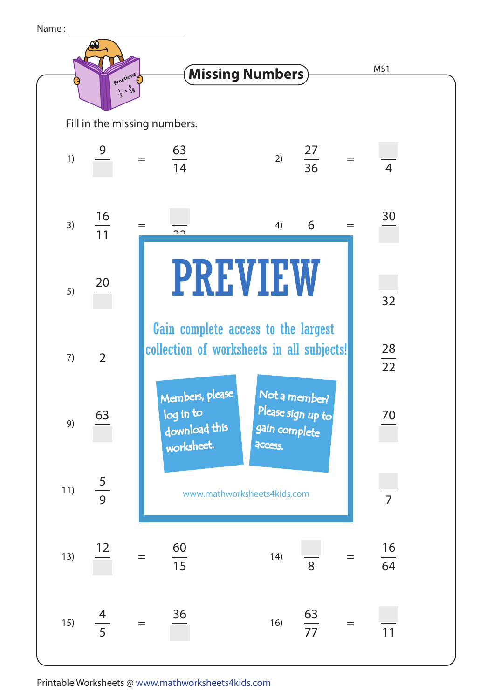